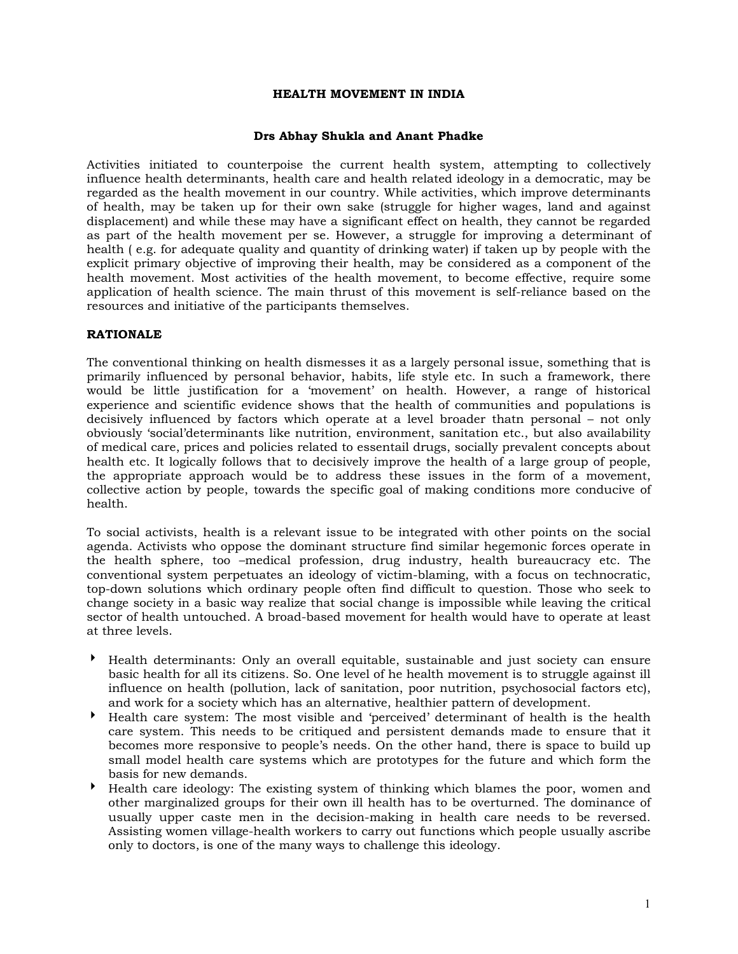### **HEALTH MOVEMENT IN INDIA**

### **Drs Abhay Shukla and Anant Phadke**

Activities initiated to counterpoise the current health system, attempting to collectively influence health determinants, health care and health related ideology in a democratic, may be regarded as the health movement in our country. While activities, which improve determinants of health, may be taken up for their own sake (struggle for higher wages, land and against displacement) and while these may have a significant effect on health, they cannot be regarded as part of the health movement per se. However, a struggle for improving a determinant of health ( e.g. for adequate quality and quantity of drinking water) if taken up by people with the explicit primary objective of improving their health, may be considered as a component of the health movement. Most activities of the health movement, to become effective, require some application of health science. The main thrust of this movement is self-reliance based on the resources and initiative of the participants themselves.

## **RATIONALE**

The conventional thinking on health dismesses it as a largely personal issue, something that is primarily influenced by personal behavior, habits, life style etc. In such a framework, there would be little justification for a 'movement' on health. However, a range of historical experience and scientific evidence shows that the health of communities and populations is decisively influenced by factors which operate at a level broader thatn personal – not only obviously 'social'determinants like nutrition, environment, sanitation etc., but also availability of medical care, prices and policies related to essentail drugs, socially prevalent concepts about health etc. It logically follows that to decisively improve the health of a large group of people, the appropriate approach would be to address these issues in the form of a movement, collective action by people, towards the specific goal of making conditions more conducive of health.

To social activists, health is a relevant issue to be integrated with other points on the social agenda. Activists who oppose the dominant structure find similar hegemonic forces operate in the health sphere, too –medical profession, drug industry, health bureaucracy etc. The conventional system perpetuates an ideology of victim-blaming, with a focus on technocratic, top-down solutions which ordinary people often find difficult to question. Those who seek to change society in a basic way realize that social change is impossible while leaving the critical sector of health untouched. A broad-based movement for health would have to operate at least at three levels.

- 4 Health determinants: Only an overall equitable, sustainable and just society can ensure basic health for all its citizens. So. One level of he health movement is to struggle against ill influence on health (pollution, lack of sanitation, poor nutrition, psychosocial factors etc), and work for a society which has an alternative, healthier pattern of development.
- 4 Health care system: The most visible and 'perceived' determinant of health is the health care system. This needs to be critiqued and persistent demands made to ensure that it becomes more responsive to people's needs. On the other hand, there is space to build up small model health care systems which are prototypes for the future and which form the basis for new demands.
- 4 Health care ideology: The existing system of thinking which blames the poor, women and other marginalized groups for their own ill health has to be overturned. The dominance of usually upper caste men in the decision-making in health care needs to be reversed. Assisting women village-health workers to carry out functions which people usually ascribe only to doctors, is one of the many ways to challenge this ideology.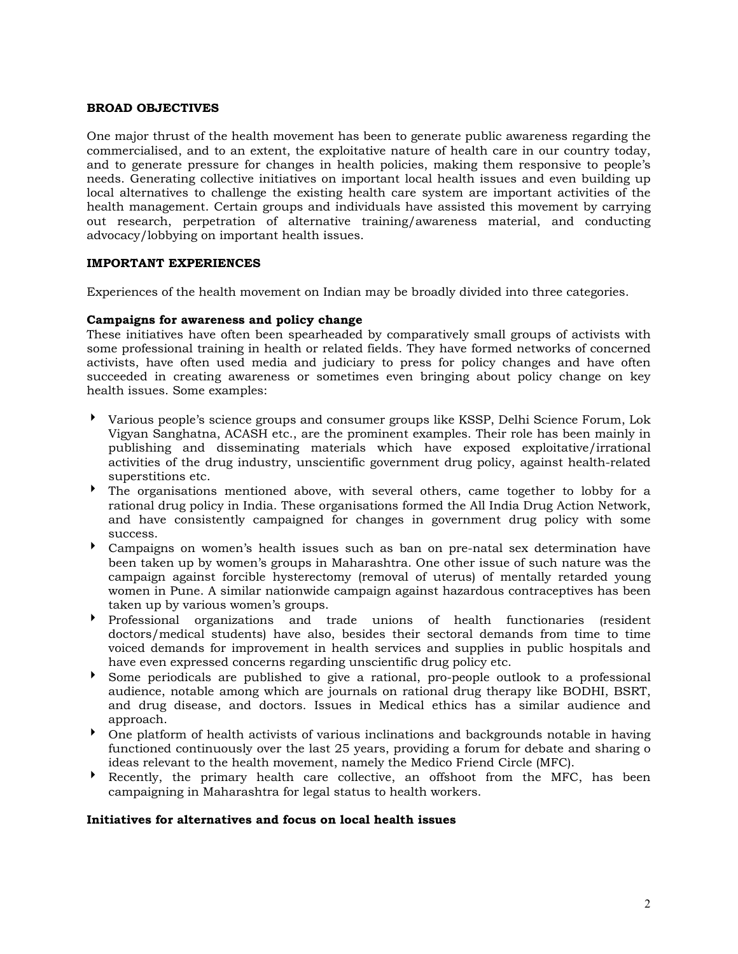### **BROAD OBJECTIVES**

One major thrust of the health movement has been to generate public awareness regarding the commercialised, and to an extent, the exploitative nature of health care in our country today, and to generate pressure for changes in health policies, making them responsive to people's needs. Generating collective initiatives on important local health issues and even building up local alternatives to challenge the existing health care system are important activities of the health management. Certain groups and individuals have assisted this movement by carrying out research, perpetration of alternative training/awareness material, and conducting advocacy/lobbying on important health issues.

#### **IMPORTANT EXPERIENCES**

Experiences of the health movement on Indian may be broadly divided into three categories.

#### **Campaigns for awareness and policy change**

These initiatives have often been spearheaded by comparatively small groups of activists with some professional training in health or related fields. They have formed networks of concerned activists, have often used media and judiciary to press for policy changes and have often succeeded in creating awareness or sometimes even bringing about policy change on key health issues. Some examples:

- 4 Various people's science groups and consumer groups like KSSP, Delhi Science Forum, Lok Vigyan Sanghatna, ACASH etc., are the prominent examples. Their role has been mainly in publishing and disseminating materials which have exposed exploitative/irrational activities of the drug industry, unscientific government drug policy, against health-related superstitions etc.
- 4 The organisations mentioned above, with several others, came together to lobby for a rational drug policy in India. These organisations formed the All India Drug Action Network, and have consistently campaigned for changes in government drug policy with some success.
- 4 Campaigns on women's health issues such as ban on pre-natal sex determination have been taken up by women's groups in Maharashtra. One other issue of such nature was the campaign against forcible hysterectomy (removal of uterus) of mentally retarded young women in Pune. A similar nationwide campaign against hazardous contraceptives has been taken up by various women's groups.
- 4 Professional organizations and trade unions of health functionaries (resident doctors/medical students) have also, besides their sectoral demands from time to time voiced demands for improvement in health services and supplies in public hospitals and have even expressed concerns regarding unscientific drug policy etc.
- 4 Some periodicals are published to give a rational, pro-people outlook to a professional audience, notable among which are journals on rational drug therapy like BODHI, BSRT, and drug disease, and doctors. Issues in Medical ethics has a similar audience and approach.
- 4 One platform of health activists of various inclinations and backgrounds notable in having functioned continuously over the last 25 years, providing a forum for debate and sharing o ideas relevant to the health movement, namely the Medico Friend Circle (MFC).
- $\blacktriangleright$  Recently, the primary health care collective, an offshoot from the MFC, has been campaigning in Maharashtra for legal status to health workers.

#### **Initiatives for alternatives and focus on local health issues**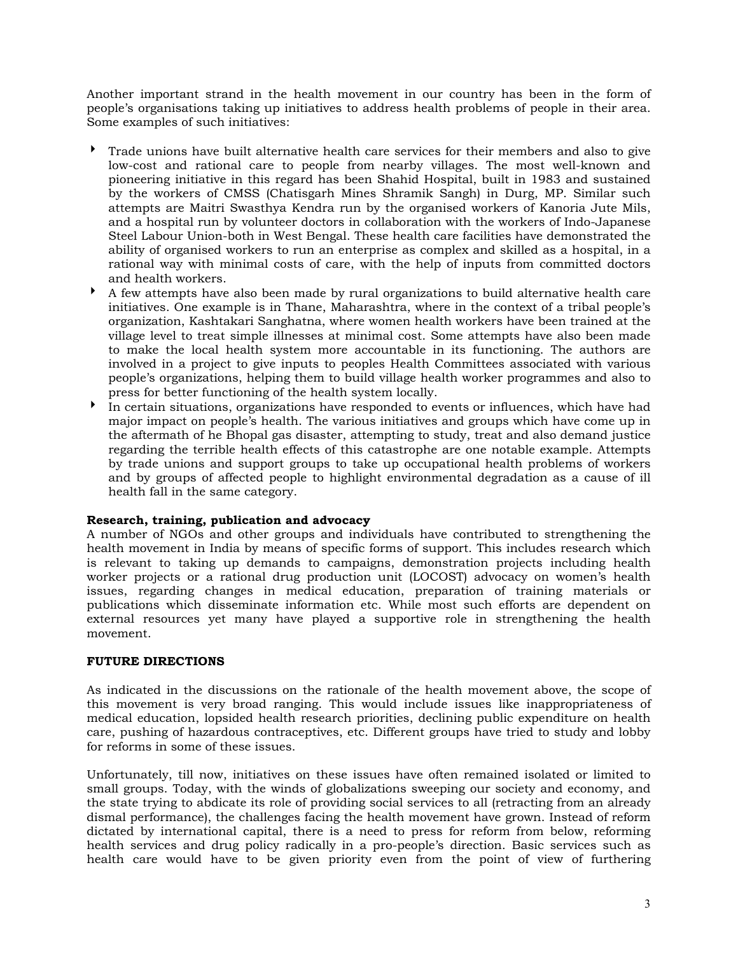Another important strand in the health movement in our country has been in the form of people's organisations taking up initiatives to address health problems of people in their area. Some examples of such initiatives:

- 4 Trade unions have built alternative health care services for their members and also to give low-cost and rational care to people from nearby villages. The most well-known and pioneering initiative in this regard has been Shahid Hospital, built in 1983 and sustained by the workers of CMSS (Chatisgarh Mines Shramik Sangh) in Durg, MP. Similar such attempts are Maitri Swasthya Kendra run by the organised workers of Kanoria Jute Mils, and a hospital run by volunteer doctors in collaboration with the workers of Indo-Japanese Steel Labour Union-both in West Bengal. These health care facilities have demonstrated the ability of organised workers to run an enterprise as complex and skilled as a hospital, in a rational way with minimal costs of care, with the help of inputs from committed doctors and health workers.
- $\blacktriangleright$  A few attempts have also been made by rural organizations to build alternative health care initiatives. One example is in Thane, Maharashtra, where in the context of a tribal people's organization, Kashtakari Sanghatna, where women health workers have been trained at the village level to treat simple illnesses at minimal cost. Some attempts have also been made to make the local health system more accountable in its functioning. The authors are involved in a project to give inputs to peoples Health Committees associated with various people's organizations, helping them to build village health worker programmes and also to press for better functioning of the health system locally.
- 4 In certain situations, organizations have responded to events or influences, which have had major impact on people's health. The various initiatives and groups which have come up in the aftermath of he Bhopal gas disaster, attempting to study, treat and also demand justice regarding the terrible health effects of this catastrophe are one notable example. Attempts by trade unions and support groups to take up occupational health problems of workers and by groups of affected people to highlight environmental degradation as a cause of ill health fall in the same category.

# **Research, training, publication and advocacy**

A number of NGOs and other groups and individuals have contributed to strengthening the health movement in India by means of specific forms of support. This includes research which is relevant to taking up demands to campaigns, demonstration projects including health worker projects or a rational drug production unit (LOCOST) advocacy on women's health issues, regarding changes in medical education, preparation of training materials or publications which disseminate information etc. While most such efforts are dependent on external resources yet many have played a supportive role in strengthening the health movement.

## **FUTURE DIRECTIONS**

As indicated in the discussions on the rationale of the health movement above, the scope of this movement is very broad ranging. This would include issues like inappropriateness of medical education, lopsided health research priorities, declining public expenditure on health care, pushing of hazardous contraceptives, etc. Different groups have tried to study and lobby for reforms in some of these issues.

Unfortunately, till now, initiatives on these issues have often remained isolated or limited to small groups. Today, with the winds of globalizations sweeping our society and economy, and the state trying to abdicate its role of providing social services to all (retracting from an already dismal performance), the challenges facing the health movement have grown. Instead of reform dictated by international capital, there is a need to press for reform from below, reforming health services and drug policy radically in a pro-people's direction. Basic services such as health care would have to be given priority even from the point of view of furthering